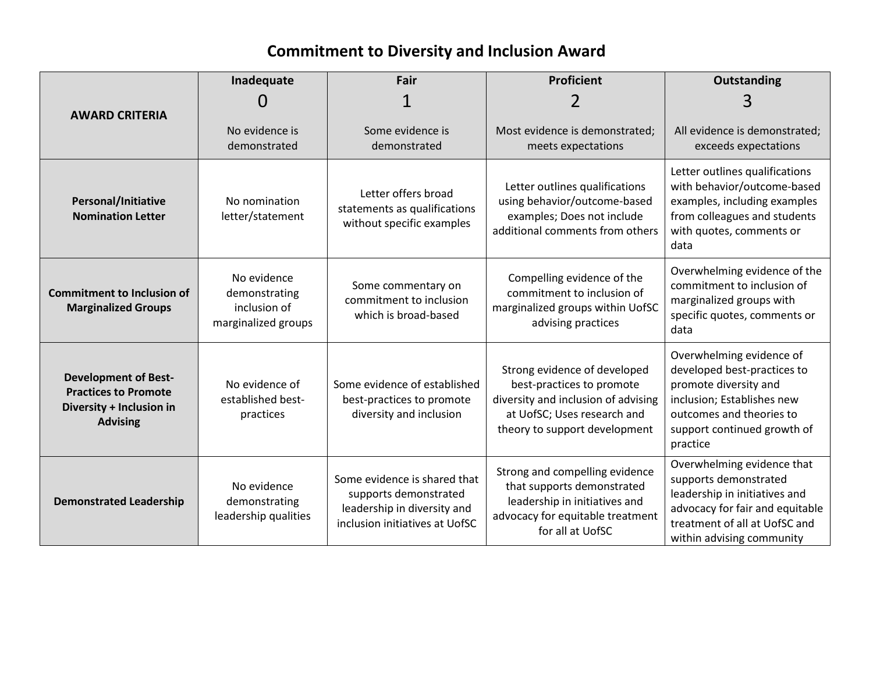## **Commitment to Diversity and Inclusion Award**

|                                                                                                           | Inadequate                                                          | Fair                                                                                                                   | <b>Proficient</b>                                                                                                                                                | <b>Outstanding</b>                                                                                                                                                                    |
|-----------------------------------------------------------------------------------------------------------|---------------------------------------------------------------------|------------------------------------------------------------------------------------------------------------------------|------------------------------------------------------------------------------------------------------------------------------------------------------------------|---------------------------------------------------------------------------------------------------------------------------------------------------------------------------------------|
| <b>AWARD CRITERIA</b>                                                                                     |                                                                     |                                                                                                                        |                                                                                                                                                                  |                                                                                                                                                                                       |
|                                                                                                           | No evidence is<br>demonstrated                                      | Some evidence is<br>demonstrated                                                                                       | Most evidence is demonstrated;<br>meets expectations                                                                                                             | All evidence is demonstrated;<br>exceeds expectations                                                                                                                                 |
| <b>Personal/Initiative</b><br><b>Nomination Letter</b>                                                    | No nomination<br>letter/statement                                   | Letter offers broad<br>statements as qualifications<br>without specific examples                                       | Letter outlines qualifications<br>using behavior/outcome-based<br>examples; Does not include<br>additional comments from others                                  | Letter outlines qualifications<br>with behavior/outcome-based<br>examples, including examples<br>from colleagues and students<br>with quotes, comments or<br>data                     |
| <b>Commitment to Inclusion of</b><br><b>Marginalized Groups</b>                                           | No evidence<br>demonstrating<br>inclusion of<br>marginalized groups | Some commentary on<br>commitment to inclusion<br>which is broad-based                                                  | Compelling evidence of the<br>commitment to inclusion of<br>marginalized groups within UofSC<br>advising practices                                               | Overwhelming evidence of the<br>commitment to inclusion of<br>marginalized groups with<br>specific quotes, comments or<br>data                                                        |
| <b>Development of Best-</b><br><b>Practices to Promote</b><br>Diversity + Inclusion in<br><b>Advising</b> | No evidence of<br>established best-<br>practices                    | Some evidence of established<br>best-practices to promote<br>diversity and inclusion                                   | Strong evidence of developed<br>best-practices to promote<br>diversity and inclusion of advising<br>at UofSC; Uses research and<br>theory to support development | Overwhelming evidence of<br>developed best-practices to<br>promote diversity and<br>inclusion; Establishes new<br>outcomes and theories to<br>support continued growth of<br>practice |
| <b>Demonstrated Leadership</b>                                                                            | No evidence<br>demonstrating<br>leadership qualities                | Some evidence is shared that<br>supports demonstrated<br>leadership in diversity and<br>inclusion initiatives at UofSC | Strong and compelling evidence<br>that supports demonstrated<br>leadership in initiatives and<br>advocacy for equitable treatment<br>for all at UofSC            | Overwhelming evidence that<br>supports demonstrated<br>leadership in initiatives and<br>advocacy for fair and equitable<br>treatment of all at UofSC and<br>within advising community |